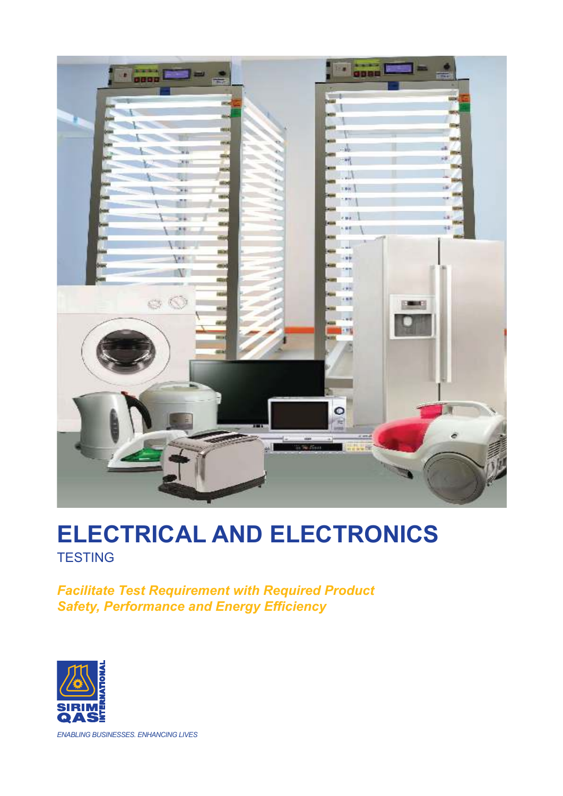

# **TESTING ELECTRICAL AND ELECTRONICS**

*Facilitate Test Requirement with Required Product Safety, Performance and Energy Efficiency*



*ENABLING BUSINESSES. ENHANCING LIVES*